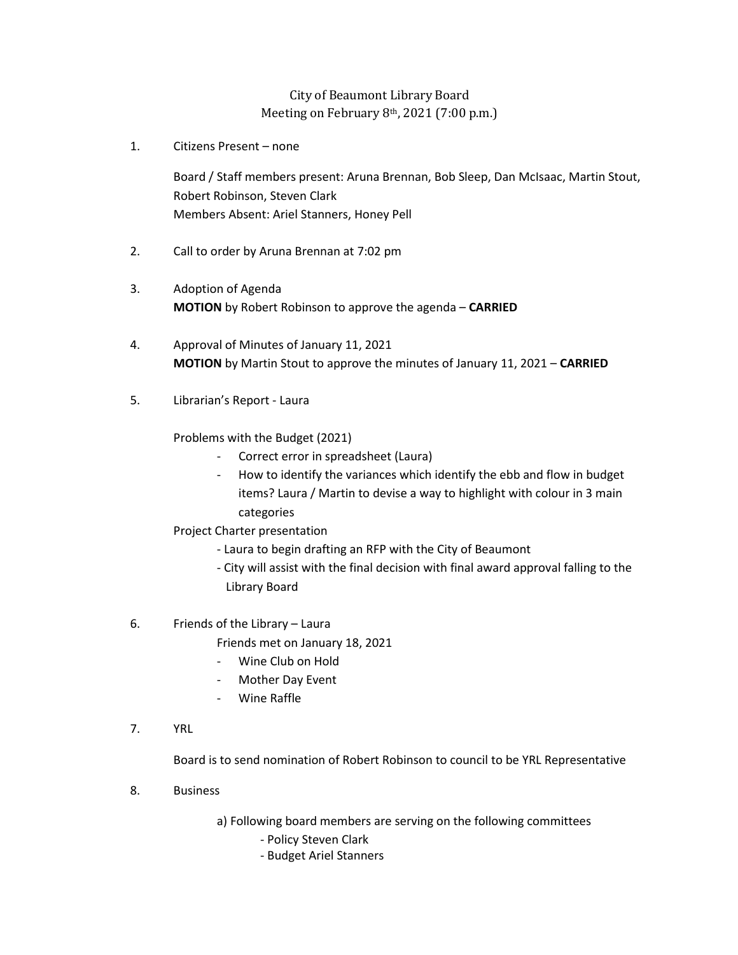## City of Beaumont Library Board Meeting on February 8<sup>th</sup>, 2021 (7:00 p.m.)

1. Citizens Present – none

Board / Staff members present: Aruna Brennan, Bob Sleep, Dan McIsaac, Martin Stout, Robert Robinson, Steven Clark Members Absent: Ariel Stanners, Honey Pell

- 2. Call to order by Aruna Brennan at 7:02 pm
- 3. Adoption of Agenda **MOTION** by Robert Robinson to approve the agenda – **CARRIED**
- 4. Approval of Minutes of January 11, 2021 **MOTION** by Martin Stout to approve the minutes of January 11, 2021 – **CARRIED**
- 5. Librarian's Report Laura

Problems with the Budget (2021)

- Correct error in spreadsheet (Laura)
- How to identify the variances which identify the ebb and flow in budget items? Laura / Martin to devise a way to highlight with colour in 3 main categories

Project Charter presentation

- Laura to begin drafting an RFP with the City of Beaumont
- City will assist with the final decision with final award approval falling to the Library Board
- 6. Friends of the Library Laura

Friends met on January 18, 2021

- Wine Club on Hold
- Mother Day Event
- Wine Raffle
- 7. YRL

Board is to send nomination of Robert Robinson to council to be YRL Representative

8. Business

a) Following board members are serving on the following committees

- Policy Steven Clark
- Budget Ariel Stanners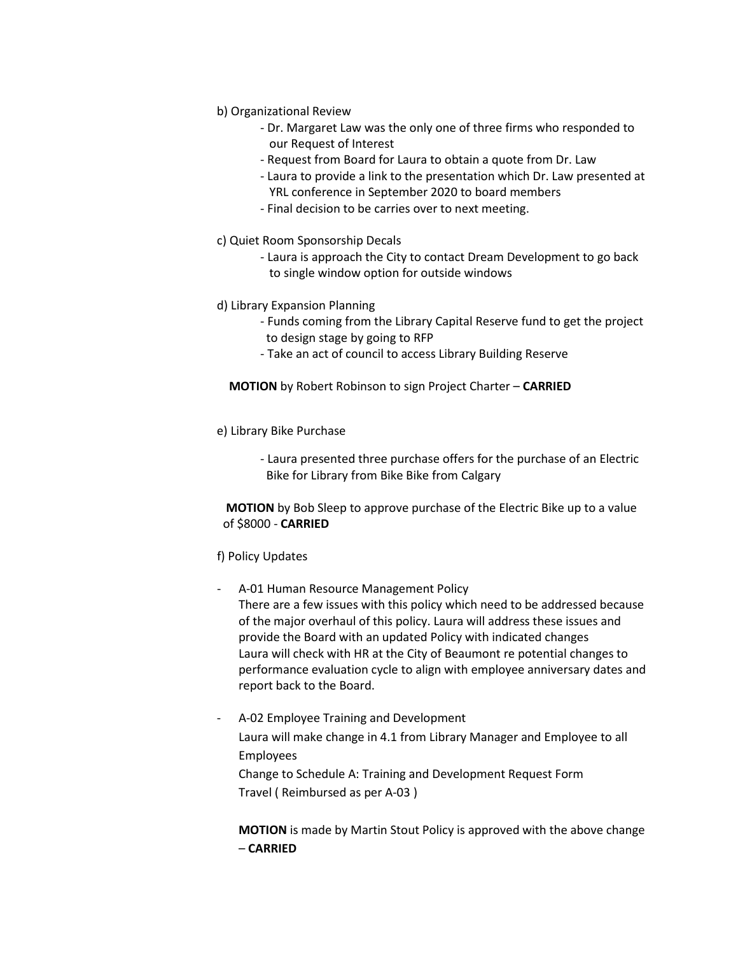- b) Organizational Review
	- Dr. Margaret Law was the only one of three firms who responded to our Request of Interest
	- Request from Board for Laura to obtain a quote from Dr. Law
	- Laura to provide a link to the presentation which Dr. Law presented at YRL conference in September 2020 to board members
	- Final decision to be carries over to next meeting.
- c) Quiet Room Sponsorship Decals
	- Laura is approach the City to contact Dream Development to go back to single window option for outside windows
- d) Library Expansion Planning
	- Funds coming from the Library Capital Reserve fund to get the project to design stage by going to RFP
	- Take an act of council to access Library Building Reserve

**MOTION** by Robert Robinson to sign Project Charter – **CARRIED**

- e) Library Bike Purchase
	- Laura presented three purchase offers for the purchase of an Electric Bike for Library from Bike Bike from Calgary

 **MOTION** by Bob Sleep to approve purchase of the Electric Bike up to a value of \$8000 - **CARRIED**

## f) Policy Updates

- A-01 Human Resource Management Policy There are a few issues with this policy which need to be addressed because of the major overhaul of this policy. Laura will address these issues and provide the Board with an updated Policy with indicated changes Laura will check with HR at the City of Beaumont re potential changes to performance evaluation cycle to align with employee anniversary dates and report back to the Board.
- A-02 Employee Training and Development Laura will make change in 4.1 from Library Manager and Employee to all Employees Change to Schedule A: Training and Development Request Form Travel ( Reimbursed as per A-03 )

**MOTION** is made by Martin Stout Policy is approved with the above change – **CARRIED**